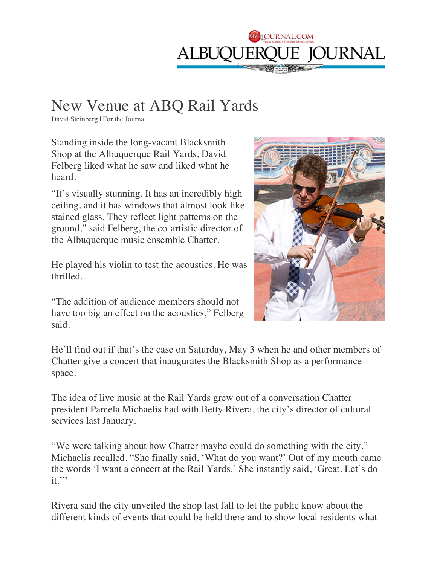

## New Venue at ABQ Rail Yards

David Steinberg | For the Journal

Standing inside the long-vacant Blacksmith Shop at the Albuquerque Rail Yards, David Felberg liked what he saw and liked what he heard.

"It's visually stunning. It has an incredibly high ceiling, and it has windows that almost look like stained glass. They reflect light patterns on the ground," said Felberg, the co-artistic director of the Albuquerque music ensemble Chatter.

He played his violin to test the acoustics. He was thrilled.

"The addition of audience members should not have too big an effect on the acoustics," Felberg said.



He'll find out if that's the case on Saturday, May 3 when he and other members of Chatter give a concert that inaugurates the Blacksmith Shop as a performance space.

The idea of live music at the Rail Yards grew out of a conversation Chatter president Pamela Michaelis had with Betty Rivera, the city's director of cultural services last January.

"We were talking about how Chatter maybe could do something with the city," Michaelis recalled. "She finally said, 'What do you want?' Out of my mouth came the words 'I want a concert at the Rail Yards.' She instantly said, 'Great. Let's do it."

Rivera said the city unveiled the shop last fall to let the public know about the different kinds of events that could be held there and to show local residents what